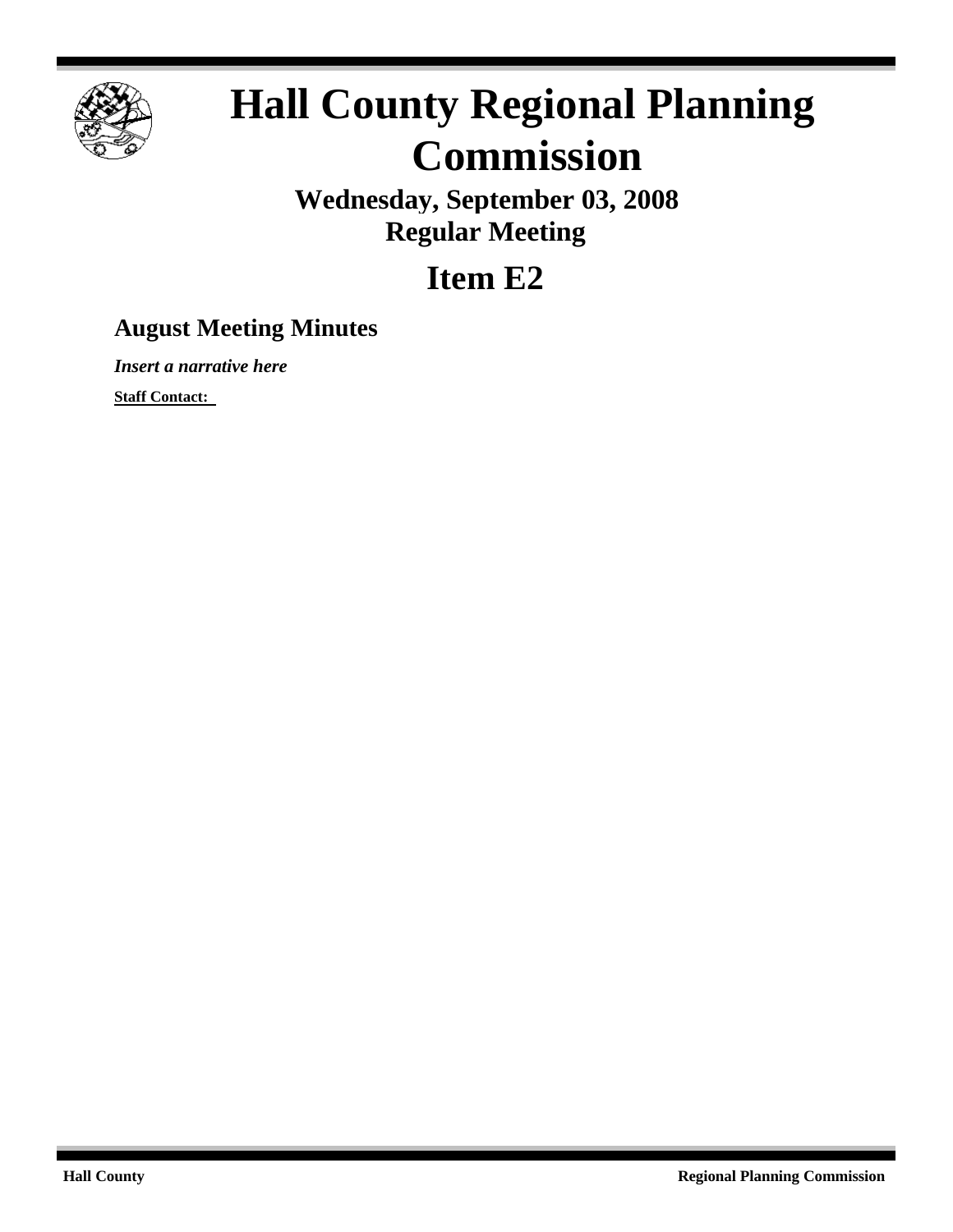

# **Hall County Regional Planning Commission**

**Wednesday, September 03, 2008 Regular Meeting**

## **Item E2**

### **August Meeting Minutes**

*Insert a narrative here*

**Staff Contact:**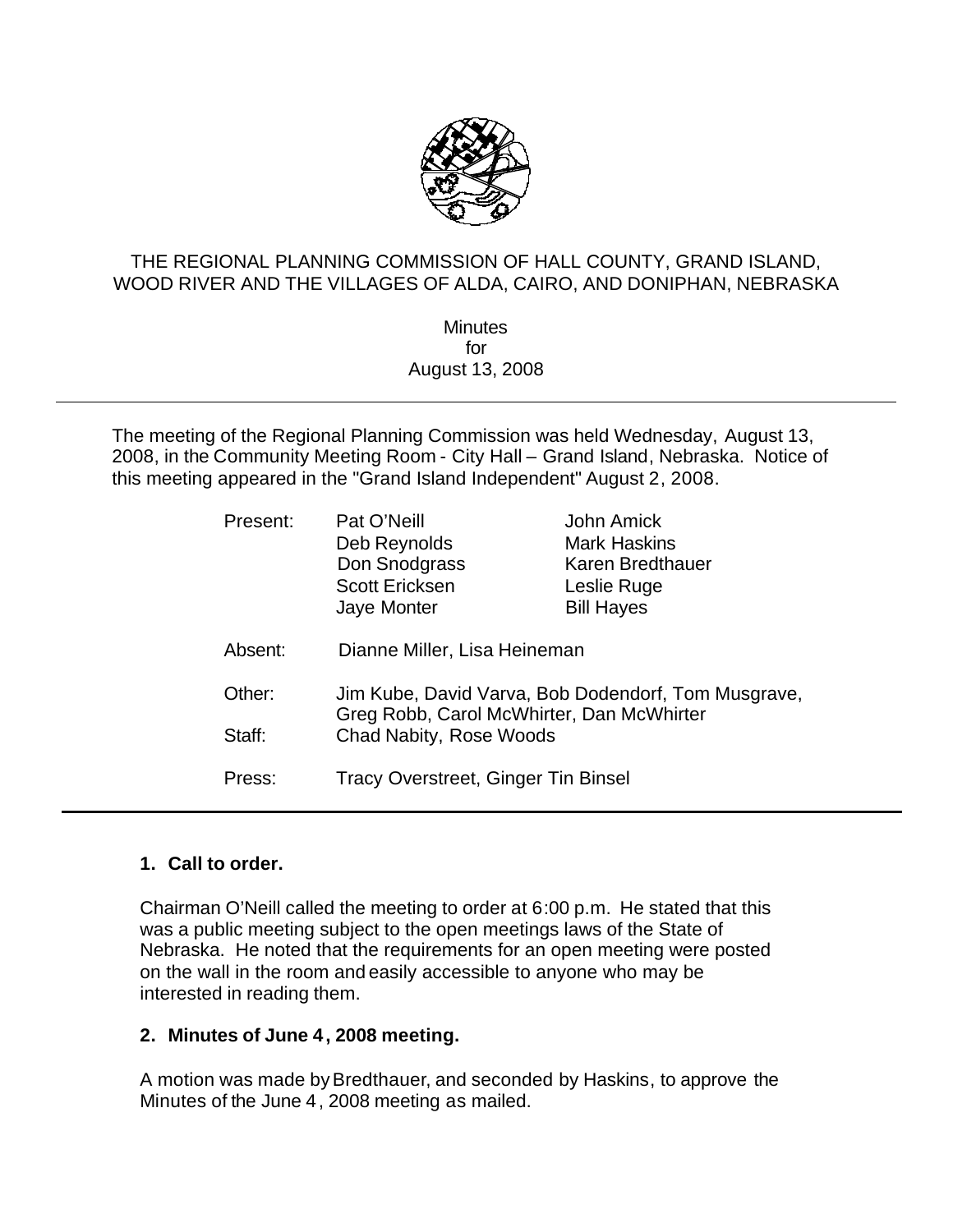

#### THE REGIONAL PLANNING COMMISSION OF HALL COUNTY, GRAND ISLAND, WOOD RIVER AND THE VILLAGES OF ALDA, CAIRO, AND DONIPHAN, NEBRASKA

**Minutes** for August 13, 2008

The meeting of the Regional Planning Commission was held Wednesday, August 13, 2008, in the Community Meeting Room - City Hall – Grand Island, Nebraska. Notice of this meeting appeared in the "Grand Island Independent" August 2, 2008.

| Present: | Pat O'Neill<br>Deb Reynolds<br>Don Snodgrass<br><b>Scott Ericksen</b><br>Jaye Monter             | John Amick<br><b>Mark Haskins</b><br>Karen Bredthauer<br>Leslie Ruge<br><b>Bill Hayes</b> |
|----------|--------------------------------------------------------------------------------------------------|-------------------------------------------------------------------------------------------|
| Absent:  | Dianne Miller, Lisa Heineman                                                                     |                                                                                           |
| Other:   | Jim Kube, David Varva, Bob Dodendorf, Tom Musgrave,<br>Greg Robb, Carol McWhirter, Dan McWhirter |                                                                                           |
| Staff:   | Chad Nabity, Rose Woods                                                                          |                                                                                           |
| Press:   | Tracy Overstreet, Ginger Tin Binsel                                                              |                                                                                           |

#### **1. Call to order.**

Chairman O'Neill called the meeting to order at 6:00 p.m. He stated that this was a public meeting subject to the open meetings laws of the State of Nebraska. He noted that the requirements for an open meeting were posted on the wall in the room and easily accessible to anyone who may be interested in reading them.

#### **2. Minutes of June 4, 2008 meeting.**

A motion was made byBredthauer, and seconded by Haskins, to approve the Minutes of the June 4, 2008 meeting as mailed.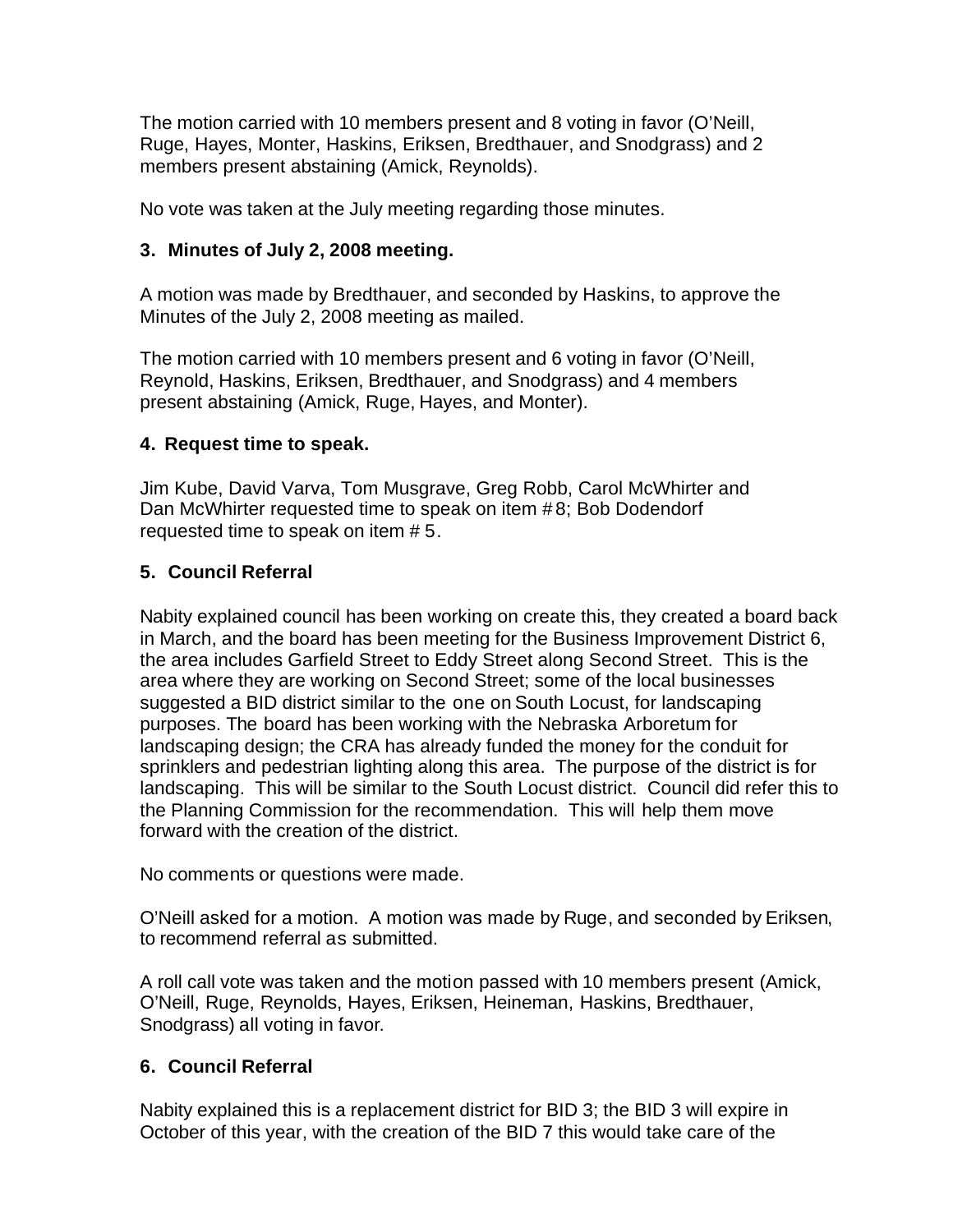The motion carried with 10 members present and 8 voting in favor (O'Neill, Ruge, Hayes, Monter, Haskins, Eriksen, Bredthauer, and Snodgrass) and 2 members present abstaining (Amick, Reynolds).

No vote was taken at the July meeting regarding those minutes.

#### **3. Minutes of July 2, 2008 meeting.**

A motion was made by Bredthauer, and seconded by Haskins, to approve the Minutes of the July 2, 2008 meeting as mailed.

The motion carried with 10 members present and 6 voting in favor (O'Neill, Reynold, Haskins, Eriksen, Bredthauer, and Snodgrass) and 4 members present abstaining (Amick, Ruge, Hayes, and Monter).

#### **4. Request time to speak.**

Jim Kube, David Varva, Tom Musgrave, Greg Robb, Carol McWhirter and Dan McWhirter requested time to speak on item # 8; Bob Dodendorf requested time to speak on item # 5.

#### **5. Council Referral**

Nabity explained council has been working on create this, they created a board back in March, and the board has been meeting for the Business Improvement District 6, the area includes Garfield Street to Eddy Street along Second Street. This is the area where they are working on Second Street; some of the local businesses suggested a BID district similar to the one on South Locust, for landscaping purposes. The board has been working with the Nebraska Arboretum for landscaping design; the CRA has already funded the money for the conduit for sprinklers and pedestrian lighting along this area. The purpose of the district is for landscaping. This will be similar to the South Locust district. Council did refer this to the Planning Commission for the recommendation. This will help them move forward with the creation of the district.

No comments or questions were made.

O'Neill asked for a motion. A motion was made by Ruge, and seconded by Eriksen, to recommend referral as submitted.

A roll call vote was taken and the motion passed with 10 members present (Amick, O'Neill, Ruge, Reynolds, Hayes, Eriksen, Heineman, Haskins, Bredthauer, Snodgrass) all voting in favor.

#### **6. Council Referral**

Nabity explained this is a replacement district for BID 3; the BID 3 will expire in October of this year, with the creation of the BID 7 this would take care of the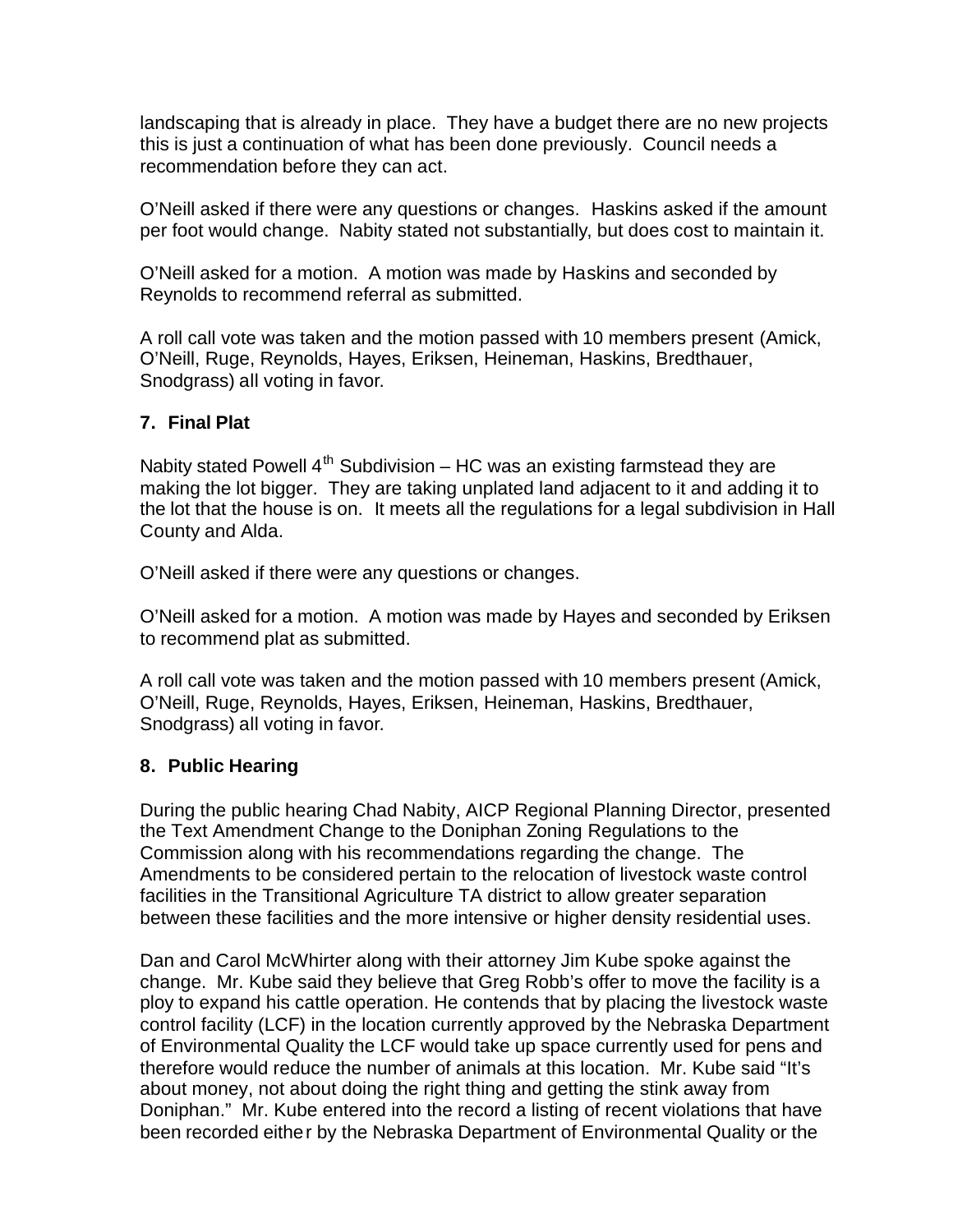landscaping that is already in place. They have a budget there are no new projects this is just a continuation of what has been done previously. Council needs a recommendation before they can act.

O'Neill asked if there were any questions or changes. Haskins asked if the amount per foot would change. Nabity stated not substantially, but does cost to maintain it.

O'Neill asked for a motion. A motion was made by Haskins and seconded by Reynolds to recommend referral as submitted.

A roll call vote was taken and the motion passed with 10 members present (Amick, O'Neill, Ruge, Reynolds, Hayes, Eriksen, Heineman, Haskins, Bredthauer, Snodgrass) all voting in favor.

#### **7. Final Plat**

Nabity stated Powell  $4^{th}$  Subdivision – HC was an existing farmstead they are making the lot bigger. They are taking unplated land adjacent to it and adding it to the lot that the house is on. It meets all the regulations for a legal subdivision in Hall County and Alda.

O'Neill asked if there were any questions or changes.

O'Neill asked for a motion. A motion was made by Hayes and seconded by Eriksen to recommend plat as submitted.

A roll call vote was taken and the motion passed with 10 members present (Amick, O'Neill, Ruge, Reynolds, Hayes, Eriksen, Heineman, Haskins, Bredthauer, Snodgrass) all voting in favor.

#### **8. Public Hearing**

During the public hearing Chad Nabity, AICP Regional Planning Director, presented the Text Amendment Change to the Doniphan Zoning Regulations to the Commission along with his recommendations regarding the change. The Amendments to be considered pertain to the relocation of livestock waste control facilities in the Transitional Agriculture TA district to allow greater separation between these facilities and the more intensive or higher density residential uses.

Dan and Carol McWhirter along with their attorney Jim Kube spoke against the change. Mr. Kube said they believe that Greg Robb's offer to move the facility is a ploy to expand his cattle operation. He contends that by placing the livestock waste control facility (LCF) in the location currently approved by the Nebraska Department of Environmental Quality the LCF would take up space currently used for pens and therefore would reduce the number of animals at this location. Mr. Kube said "It's about money, not about doing the right thing and getting the stink away from Doniphan." Mr. Kube entered into the record a listing of recent violations that have been recorded either by the Nebraska Department of Environmental Quality or the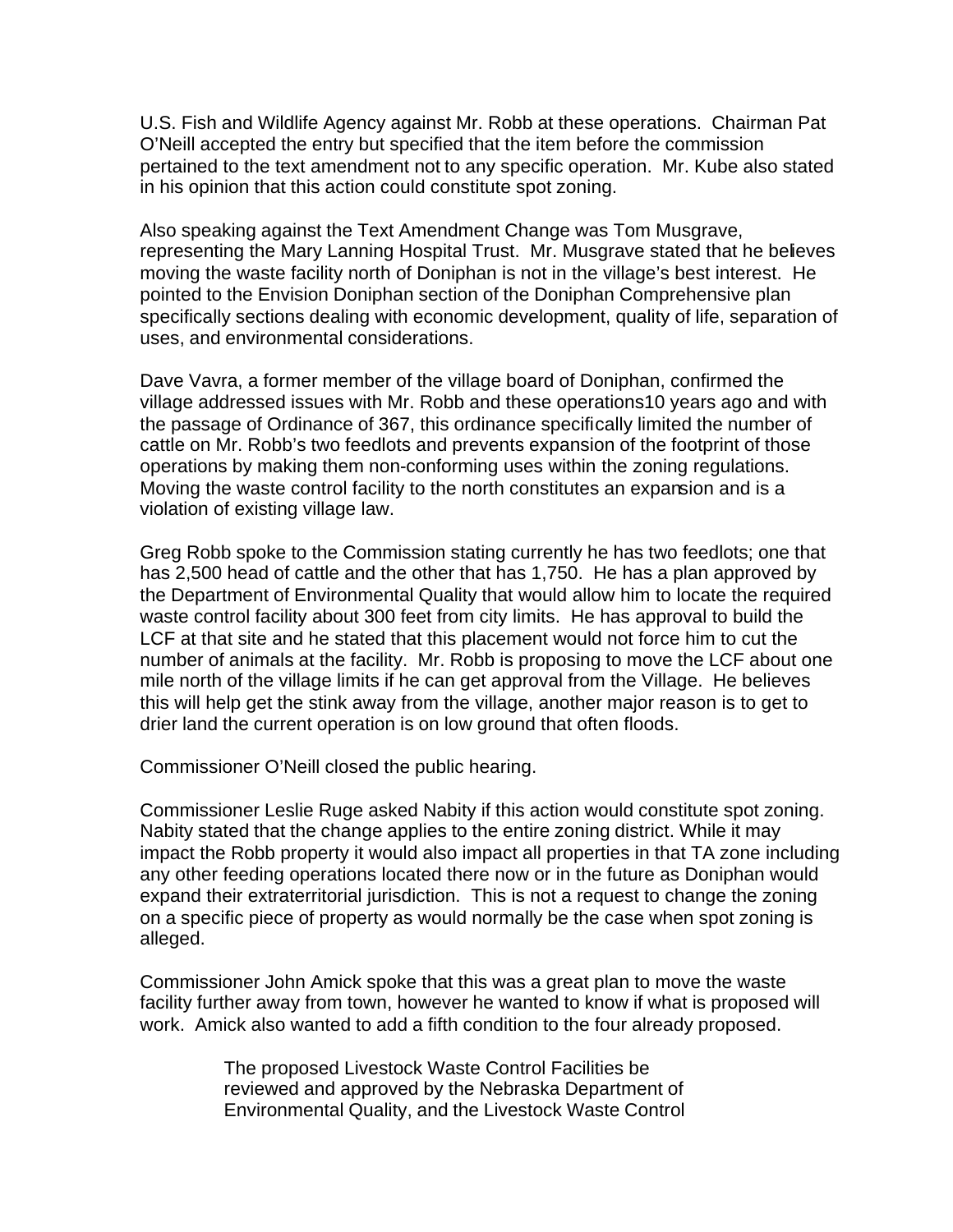U.S. Fish and Wildlife Agency against Mr. Robb at these operations. Chairman Pat O'Neill accepted the entry but specified that the item before the commission pertained to the text amendment not to any specific operation. Mr. Kube also stated in his opinion that this action could constitute spot zoning.

Also speaking against the Text Amendment Change was Tom Musgrave, representing the Mary Lanning Hospital Trust. Mr. Musgrave stated that he believes moving the waste facility north of Doniphan is not in the village's best interest. He pointed to the Envision Doniphan section of the Doniphan Comprehensive plan specifically sections dealing with economic development, quality of life, separation of uses, and environmental considerations.

Dave Vavra, a former member of the village board of Doniphan, confirmed the village addressed issues with Mr. Robb and these operations10 years ago and with the passage of Ordinance of 367, this ordinance specifically limited the number of cattle on Mr. Robb's two feedlots and prevents expansion of the footprint of those operations by making them non-conforming uses within the zoning regulations. Moving the waste control facility to the north constitutes an expansion and is a violation of existing village law.

Greg Robb spoke to the Commission stating currently he has two feedlots; one that has 2,500 head of cattle and the other that has 1,750. He has a plan approved by the Department of Environmental Quality that would allow him to locate the required waste control facility about 300 feet from city limits. He has approval to build the LCF at that site and he stated that this placement would not force him to cut the number of animals at the facility. Mr. Robb is proposing to move the LCF about one mile north of the village limits if he can get approval from the Village. He believes this will help get the stink away from the village, another major reason is to get to drier land the current operation is on low ground that often floods.

Commissioner O'Neill closed the public hearing.

Commissioner Leslie Ruge asked Nabity if this action would constitute spot zoning. Nabity stated that the change applies to the entire zoning district. While it may impact the Robb property it would also impact all properties in that TA zone including any other feeding operations located there now or in the future as Doniphan would expand their extraterritorial jurisdiction. This is not a request to change the zoning on a specific piece of property as would normally be the case when spot zoning is alleged.

Commissioner John Amick spoke that this was a great plan to move the waste facility further away from town, however he wanted to know if what is proposed will work. Amick also wanted to add a fifth condition to the four already proposed.

> The proposed Livestock Waste Control Facilities be reviewed and approved by the Nebraska Department of Environmental Quality, and the Livestock Waste Control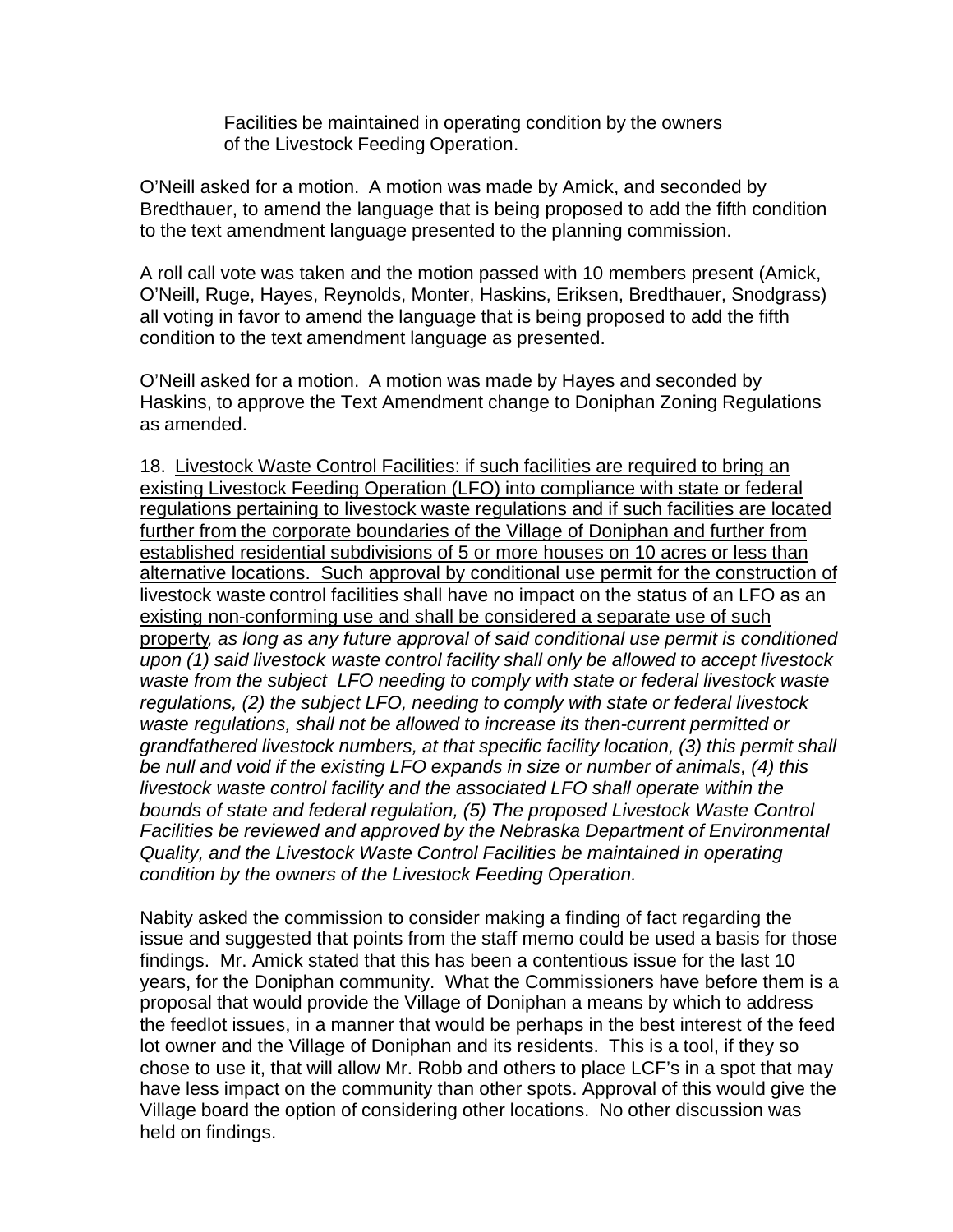Facilities be maintained in operating condition by the owners of the Livestock Feeding Operation.

O'Neill asked for a motion. A motion was made by Amick, and seconded by Bredthauer, to amend the language that is being proposed to add the fifth condition to the text amendment language presented to the planning commission.

A roll call vote was taken and the motion passed with 10 members present (Amick, O'Neill, Ruge, Hayes, Reynolds, Monter, Haskins, Eriksen, Bredthauer, Snodgrass) all voting in favor to amend the language that is being proposed to add the fifth condition to the text amendment language as presented.

O'Neill asked for a motion.A motion was made by Hayes and seconded by Haskins, to approve the Text Amendment change to Doniphan Zoning Regulations as amended.

18. Livestock Waste Control Facilities: if such facilities are required to bring an existing Livestock Feeding Operation (LFO) into compliance with state or federal regulations pertaining to livestock waste regulations and if such facilities are located further from the corporate boundaries of the Village of Doniphan and further from established residential subdivisions of 5 or more houses on 10 acres or less than alternative locations. Such approval by conditional use permit for the construction of livestock waste control facilities shall have no impact on the status of an LFO as an existing non-conforming use and shall be considered a separate use of such property*, as long as any future approval of said conditional use permit is conditioned upon (1) said livestock waste control facility shall only be allowed to accept livestock waste from the subject LFO needing to comply with state or federal livestock waste regulations, (2) the subject LFO, needing to comply with state or federal livestock waste regulations, shall not be allowed to increase its then-current permitted or grandfathered livestock numbers, at that specific facility location, (3) this permit shall be null and void if the existing LFO expands in size or number of animals, (4) this livestock waste control facility and the associated LFO shall operate within the bounds of state and federal regulation, (5) The proposed Livestock Waste Control Facilities be reviewed and approved by the Nebraska Department of Environmental Quality, and the Livestock Waste Control Facilities be maintained in operating condition by the owners of the Livestock Feeding Operation.*

Nabity asked the commission to consider making a finding of fact regarding the issue and suggested that points from the staff memo could be used a basis for those findings. Mr. Amick stated that this has been a contentious issue for the last 10 years, for the Doniphan community. What the Commissioners have before them is a proposal that would provide the Village of Doniphan a means by which to address the feedlot issues, in a manner that would be perhaps in the best interest of the feed lot owner and the Village of Doniphan and its residents. This is a tool, if they so chose to use it, that will allow Mr. Robb and others to place LCF's in a spot that may have less impact on the community than other spots. Approval of this would give the Village board the option of considering other locations. No other discussion was held on findings.